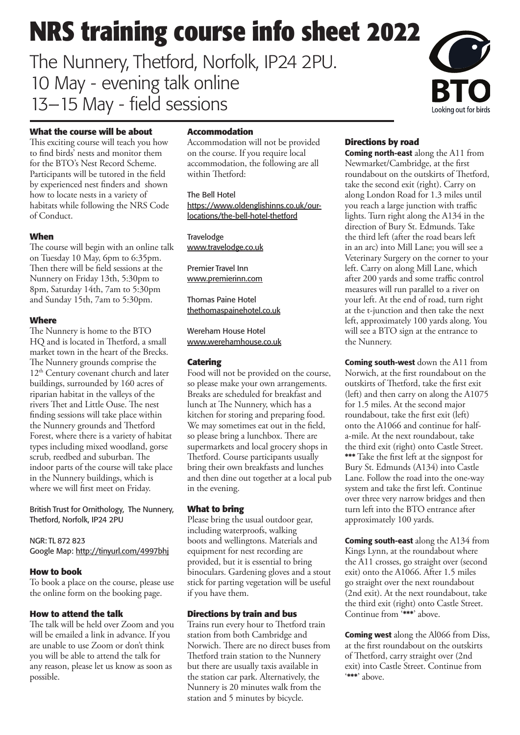# **NRS training course info sheet 2022**

The Nunnery, Thetford, Norfolk, IP24 2PU. 10 May - evening talk online 13–15 May - field sessions



#### **What the course will be about**

This exciting course will teach you how to find birds' nests and monitor them for the BTO's Nest Record Scheme. Participants will be tutored in the field by experienced nest finders and shown how to locate nests in a variety of habitats while following the NRS Code of Conduct.

#### **When**

The course will begin with an online talk on Tuesday 10 May, 6pm to 6:35pm. Then there will be field sessions at the Nunnery on Friday 13th, 5:30pm to 8pm, Saturday 14th, 7am to 5:30pm and Sunday 15th, 7am to 5:30pm.

#### **Where**

The Nunnery is home to the BTO HQ and is located in Thetford, a small market town in the heart of the Brecks. The Nunnery grounds comprise the 12<sup>th</sup> Century covenant church and later buildings, surrounded by 160 acres of riparian habitat in the valleys of the rivers Thet and Little Ouse. The nest finding sessions will take place within the Nunnery grounds and Thetford Forest, where there is a variety of habitat types including mixed woodland, gorse scrub, reedbed and suburban. The indoor parts of the course will take place in the Nunnery buildings, which is where we will first meet on Friday.

British Trust for Ornithology, The Nunnery, Thetford, Norfolk, IP24 2PU

NGR: TL 872 823 Google Map: <http://tinyurl.com/4997bhj>

#### **How to book**

To book a place on the course, please use the online form on the booking page.

#### **How to attend the talk**

The talk will be held over Zoom and you will be emailed a link in advance. If you are unable to use Zoom or don't think you will be able to attend the talk for any reason, please let us know as soon as possible.

#### **Accommodation**

Accommodation will not be provided on the course. If you require local accommodation, the following are all within Thetford:

The Bell Hotel https://www.oldenglishinns.co.uk/ourlocations/the-bell-hotel-thetford

**Travelodge** <www.travelodge.co.uk>

Premier Travel Inn <www.premierinn.com>

Thomas Paine Hotel <thethomaspainehotel.co.uk>

Wereham House Hotel <www.werehamhouse.co.uk>

#### **Catering**

Food will not be provided on the course, so please make your own arrangements. Breaks are scheduled for breakfast and lunch at The Nunnery, which has a kitchen for storing and preparing food. We may sometimes eat out in the field, so please bring a lunchbox. There are supermarkets and local grocery shops in Thetford. Course participants usually bring their own breakfasts and lunches and then dine out together at a local pub in the evening.

#### **What to bring**

Please bring the usual outdoor gear, including waterproofs, walking boots and wellingtons. Materials and equipment for nest recording are provided, but it is essential to bring binoculars. Gardening gloves and a stout stick for parting vegetation will be useful if you have them.

#### **Directions by train and bus**

Trains run every hour to Thetford train station from both Cambridge and Norwich. There are no direct buses from Thetford train station to the Nunnery but there are usually taxis available in the station car park. Alternatively, the Nunnery is 20 minutes walk from the station and 5 minutes by bicycle.

#### **Directions by road**

Coming north-east along the A11 from Newmarket/Cambridge, at the first roundabout on the outskirts of Thetford, take the second exit (right). Carry on along London Road for 1.3 miles until you reach a large junction with traffic lights. Turn right along the A134 in the direction of Bury St. Edmunds. Take the third left (after the road bears left in an arc) into Mill Lane; you will see a Veterinary Surgery on the corner to your left. Carry on along Mill Lane, which after 200 yards and some traffic control measures will run parallel to a river on your left. At the end of road, turn right at the t-junction and then take the next left, approximately 100 yards along. You will see a BTO sign at the entrance to the Nunnery.

**Coming south-west** down the A11 from Norwich, at the first roundabout on the outskirts of Thetford, take the first exit (left) and then carry on along the A1075 for 1.5 miles. At the second major roundabout, take the first exit (left) onto the A1066 and continue for halfa-mile. At the next roundabout, take the third exit (right) onto Castle Street. \*\*\* Take the first left at the signpost for Bury St. Edmunds (A134) into Castle Lane. Follow the road into the one-way system and take the first left. Continue over three very narrow bridges and then turn left into the BTO entrance after approximately 100 yards.

Coming south-east along the A134 from Kings Lynn, at the roundabout where the A11 crosses, go straight over (second exit) onto the A1066. After 1.5 miles go straight over the next roundabout (2nd exit). At the next roundabout, take the third exit (right) onto Castle Street. Continue from '\*\*\*' above.

**Coming west** along the Al066 from Diss, at the first roundabout on the outskirts of Thetford, carry straight over (2nd exit) into Castle Street. Continue from '\*\*\*' above.